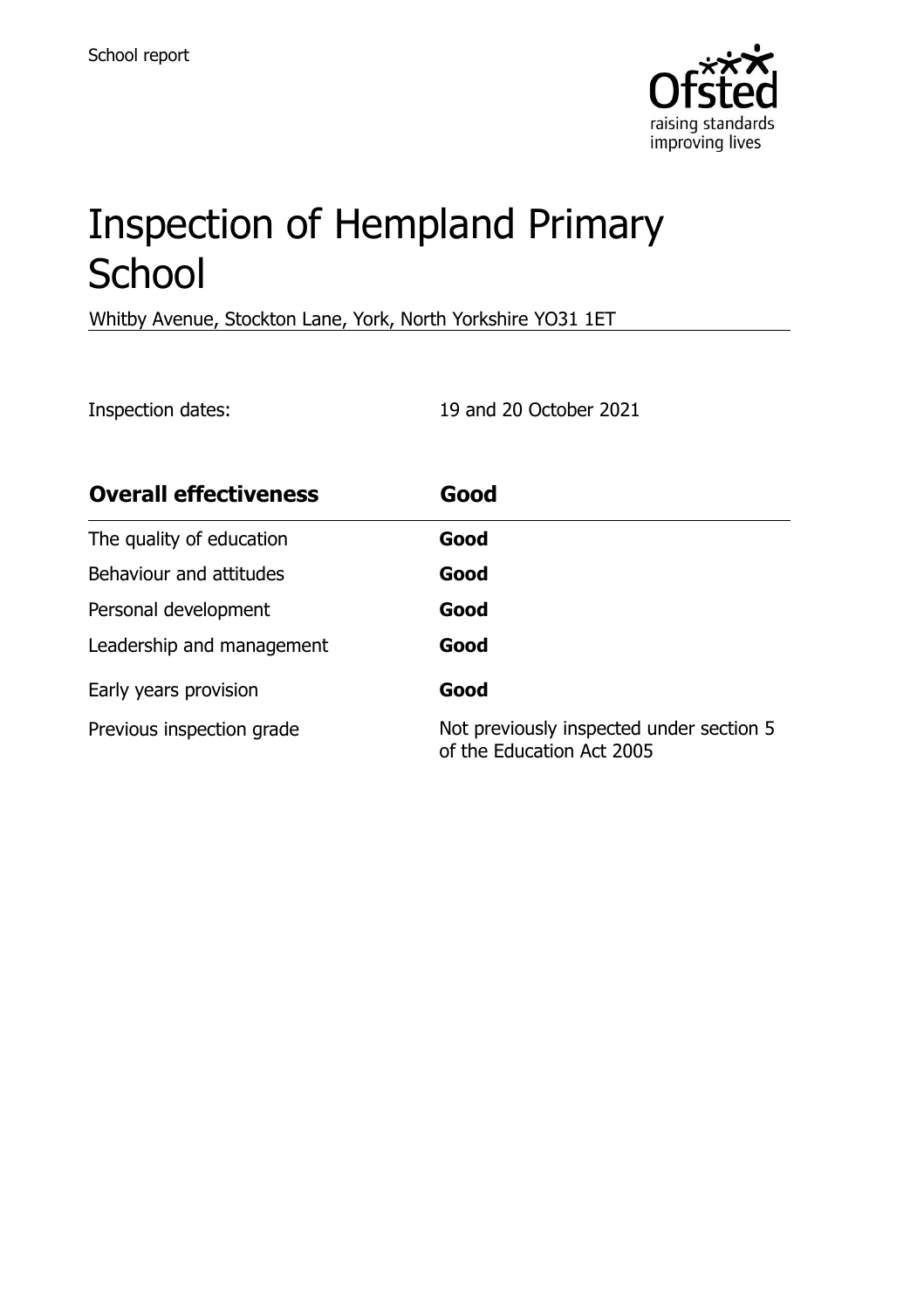

# Inspection of Hempland Primary **School**

Whitby Avenue, Stockton Lane, York, North Yorkshire YO31 1ET

Inspection dates: 19 and 20 October 2021

| <b>Overall effectiveness</b> | Good                                                                  |
|------------------------------|-----------------------------------------------------------------------|
| The quality of education     | Good                                                                  |
| Behaviour and attitudes      | Good                                                                  |
| Personal development         | Good                                                                  |
| Leadership and management    | Good                                                                  |
| Early years provision        | Good                                                                  |
| Previous inspection grade    | Not previously inspected under section 5<br>of the Education Act 2005 |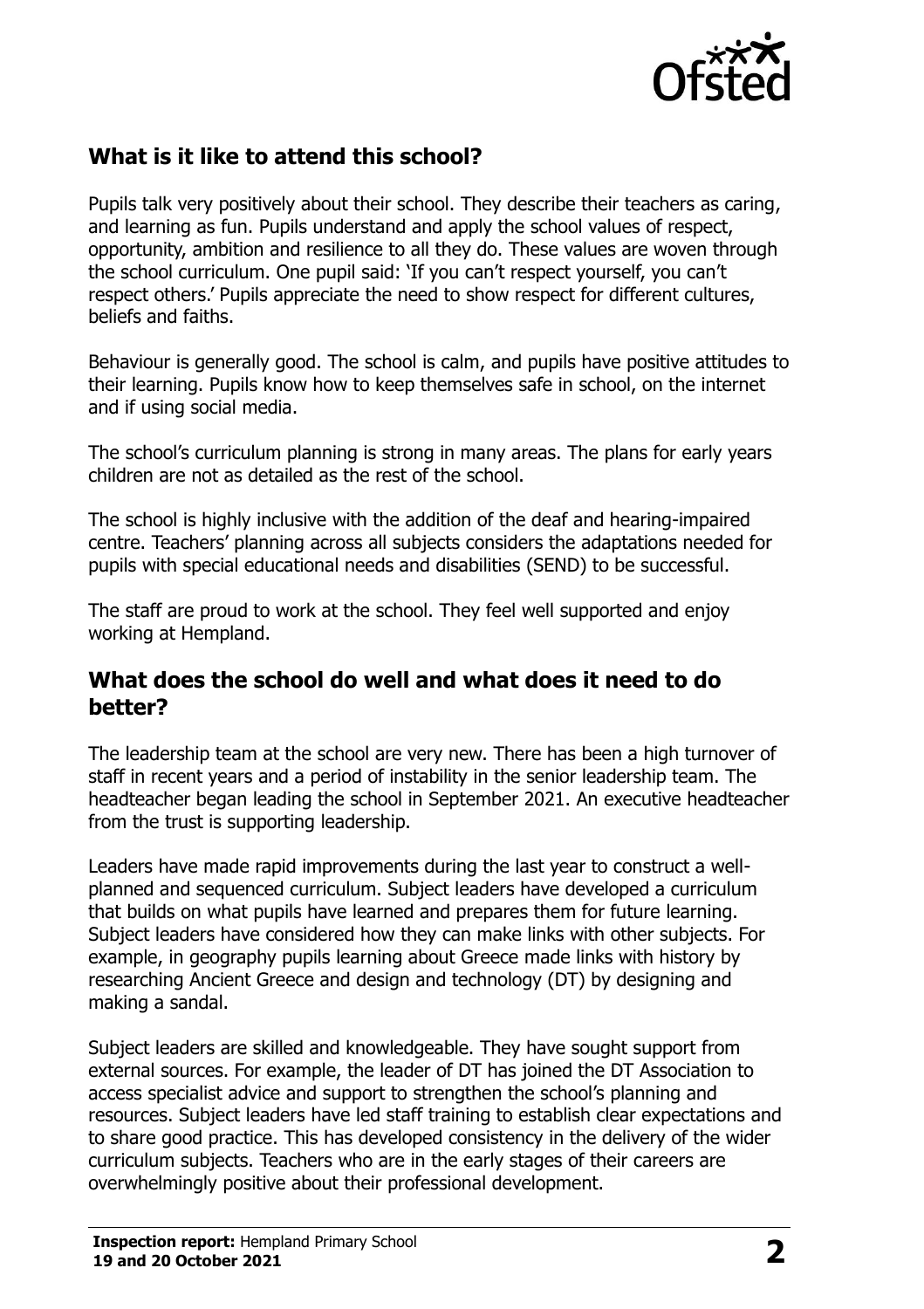

## **What is it like to attend this school?**

Pupils talk very positively about their school. They describe their teachers as caring, and learning as fun. Pupils understand and apply the school values of respect, opportunity, ambition and resilience to all they do. These values are woven through the school curriculum. One pupil said: 'If you can't respect yourself, you can't respect others.' Pupils appreciate the need to show respect for different cultures, beliefs and faiths.

Behaviour is generally good. The school is calm, and pupils have positive attitudes to their learning. Pupils know how to keep themselves safe in school, on the internet and if using social media.

The school's curriculum planning is strong in many areas. The plans for early years children are not as detailed as the rest of the school.

The school is highly inclusive with the addition of the deaf and hearing-impaired centre. Teachers' planning across all subjects considers the adaptations needed for pupils with special educational needs and disabilities (SEND) to be successful.

The staff are proud to work at the school. They feel well supported and enjoy working at Hempland.

### **What does the school do well and what does it need to do better?**

The leadership team at the school are very new. There has been a high turnover of staff in recent years and a period of instability in the senior leadership team. The headteacher began leading the school in September 2021. An executive headteacher from the trust is supporting leadership.

Leaders have made rapid improvements during the last year to construct a wellplanned and sequenced curriculum. Subject leaders have developed a curriculum that builds on what pupils have learned and prepares them for future learning. Subject leaders have considered how they can make links with other subjects. For example, in geography pupils learning about Greece made links with history by researching Ancient Greece and design and technology (DT) by designing and making a sandal.

Subject leaders are skilled and knowledgeable. They have sought support from external sources. For example, the leader of DT has joined the DT Association to access specialist advice and support to strengthen the school's planning and resources. Subject leaders have led staff training to establish clear expectations and to share good practice. This has developed consistency in the delivery of the wider curriculum subjects. Teachers who are in the early stages of their careers are overwhelmingly positive about their professional development.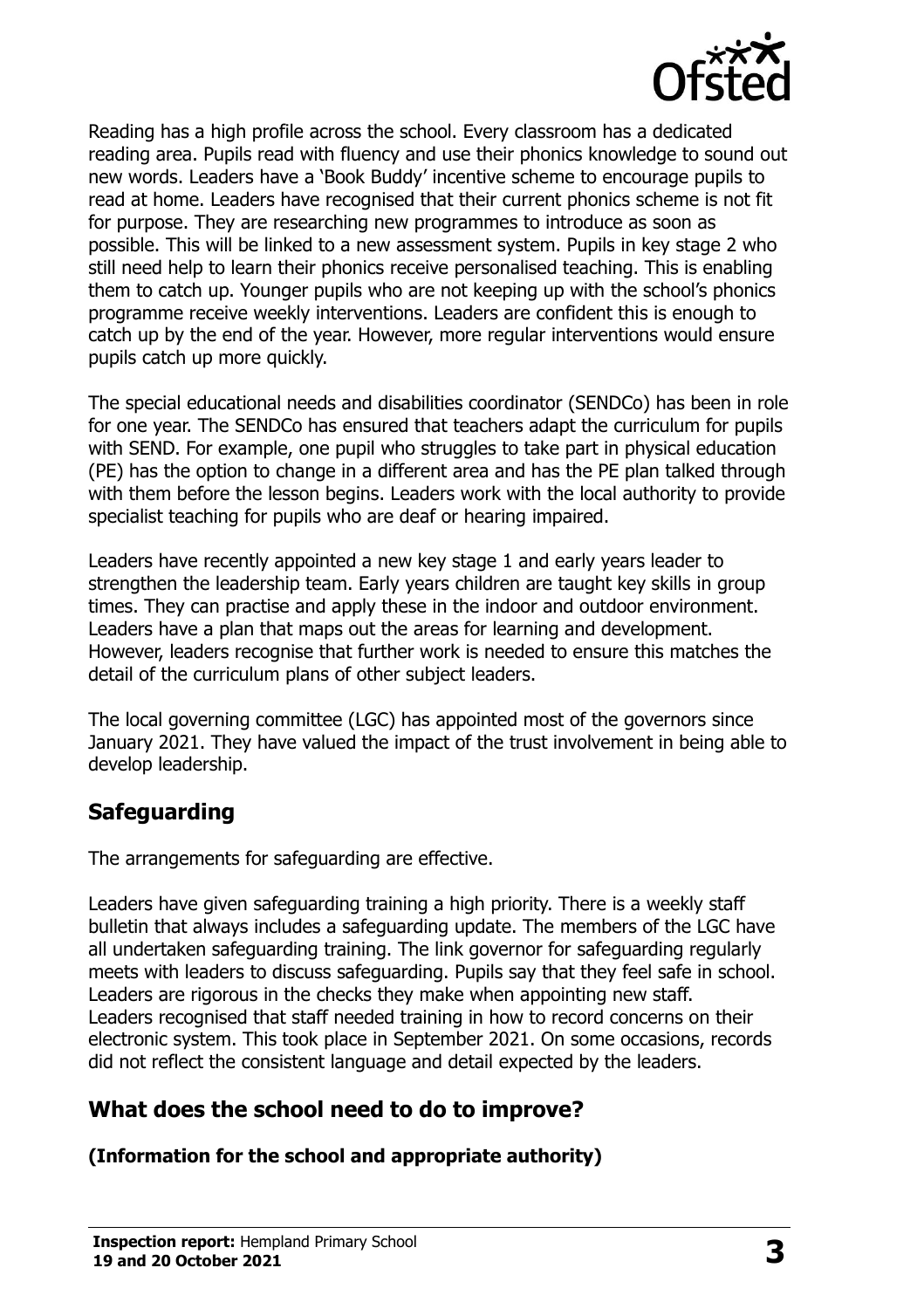

Reading has a high profile across the school. Every classroom has a dedicated reading area. Pupils read with fluency and use their phonics knowledge to sound out new words. Leaders have a 'Book Buddy' incentive scheme to encourage pupils to read at home. Leaders have recognised that their current phonics scheme is not fit for purpose. They are researching new programmes to introduce as soon as possible. This will be linked to a new assessment system. Pupils in key stage 2 who still need help to learn their phonics receive personalised teaching. This is enabling them to catch up. Younger pupils who are not keeping up with the school's phonics programme receive weekly interventions. Leaders are confident this is enough to catch up by the end of the year. However, more regular interventions would ensure pupils catch up more quickly.

The special educational needs and disabilities coordinator (SENDCo) has been in role for one year. The SENDCo has ensured that teachers adapt the curriculum for pupils with SEND. For example, one pupil who struggles to take part in physical education (PE) has the option to change in a different area and has the PE plan talked through with them before the lesson begins. Leaders work with the local authority to provide specialist teaching for pupils who are deaf or hearing impaired.

Leaders have recently appointed a new key stage 1 and early years leader to strengthen the leadership team. Early years children are taught key skills in group times. They can practise and apply these in the indoor and outdoor environment. Leaders have a plan that maps out the areas for learning and development. However, leaders recognise that further work is needed to ensure this matches the detail of the curriculum plans of other subject leaders.

The local governing committee (LGC) has appointed most of the governors since January 2021. They have valued the impact of the trust involvement in being able to develop leadership.

## **Safeguarding**

The arrangements for safeguarding are effective.

Leaders have given safeguarding training a high priority. There is a weekly staff bulletin that always includes a safeguarding update. The members of the LGC have all undertaken safeguarding training. The link governor for safeguarding regularly meets with leaders to discuss safeguarding. Pupils say that they feel safe in school. Leaders are rigorous in the checks they make when appointing new staff. Leaders recognised that staff needed training in how to record concerns on their electronic system. This took place in September 2021. On some occasions, records did not reflect the consistent language and detail expected by the leaders.

## **What does the school need to do to improve?**

**(Information for the school and appropriate authority)**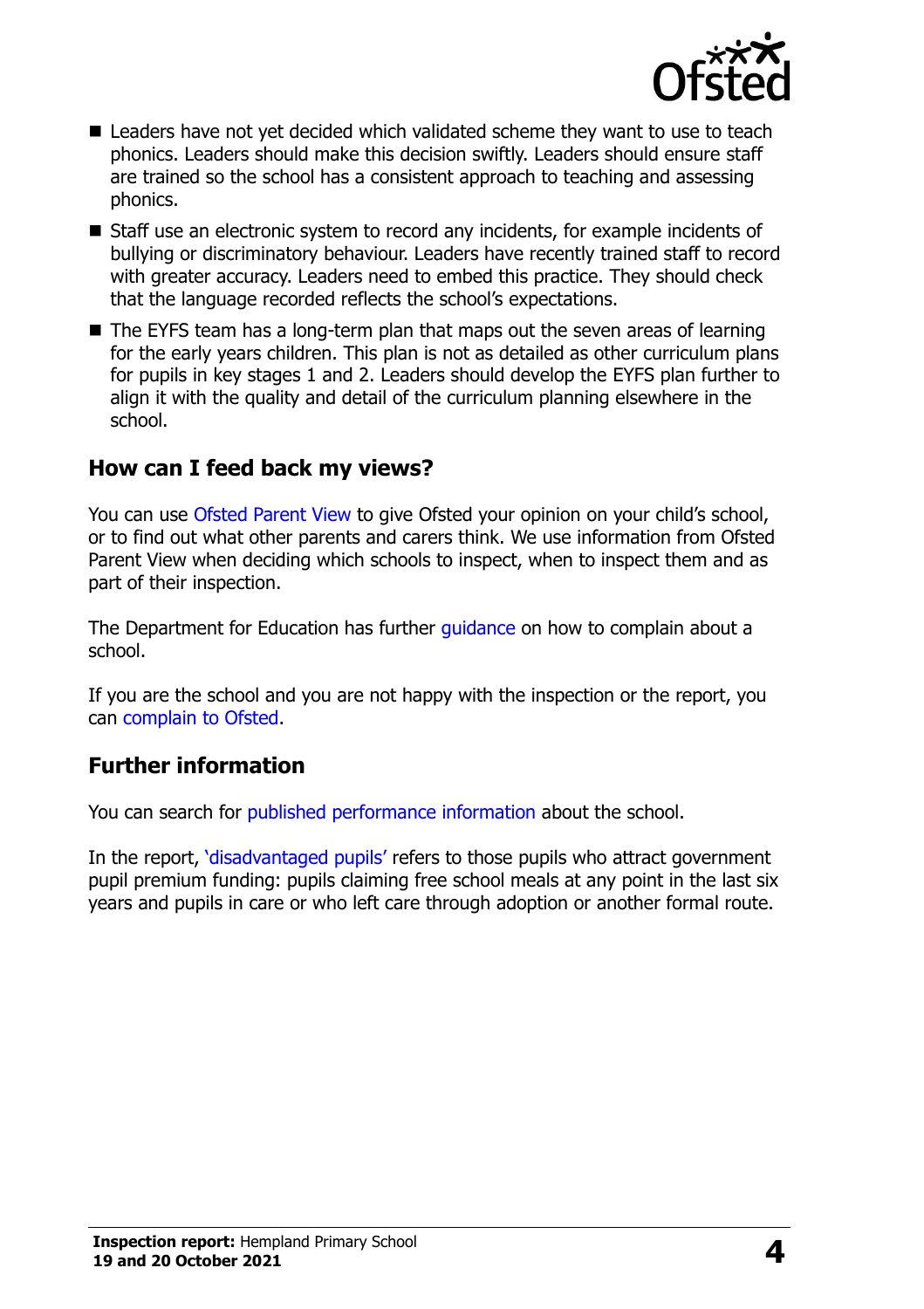

- Leaders have not yet decided which validated scheme they want to use to teach phonics. Leaders should make this decision swiftly. Leaders should ensure staff are trained so the school has a consistent approach to teaching and assessing phonics.
- Staff use an electronic system to record any incidents, for example incidents of bullying or discriminatory behaviour. Leaders have recently trained staff to record with greater accuracy. Leaders need to embed this practice. They should check that the language recorded reflects the school's expectations.
- The EYFS team has a long-term plan that maps out the seven areas of learning for the early years children. This plan is not as detailed as other curriculum plans for pupils in key stages 1 and 2. Leaders should develop the EYFS plan further to align it with the quality and detail of the curriculum planning elsewhere in the school.

### **How can I feed back my views?**

You can use [Ofsted Parent View](http://parentview.ofsted.gov.uk/) to give Ofsted your opinion on your child's school, or to find out what other parents and carers think. We use information from Ofsted Parent View when deciding which schools to inspect, when to inspect them and as part of their inspection.

The Department for Education has further quidance on how to complain about a school.

If you are the school and you are not happy with the inspection or the report, you can [complain to Ofsted.](http://www.gov.uk/complain-ofsted-report)

#### **Further information**

You can search for [published performance information](http://www.compare-school-performance.service.gov.uk/) about the school.

In the report, '[disadvantaged pupils](http://www.gov.uk/guidance/pupil-premium-information-for-schools-and-alternative-provision-settings)' refers to those pupils who attract government pupil premium funding: pupils claiming free school meals at any point in the last six years and pupils in care or who left care through adoption or another formal route.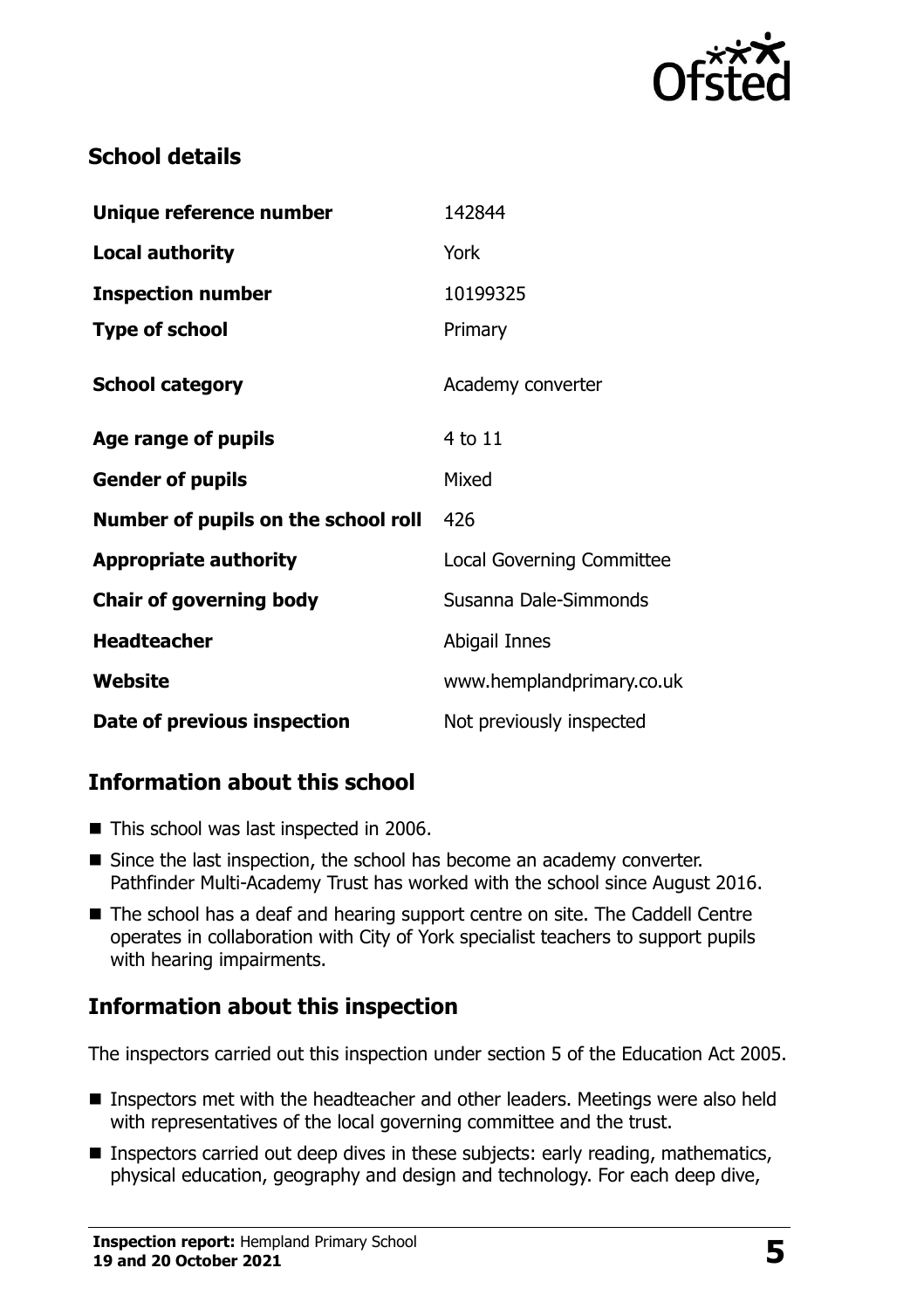

## **School details**

| Unique reference number             | 142844                           |
|-------------------------------------|----------------------------------|
| <b>Local authority</b>              | <b>York</b>                      |
| <b>Inspection number</b>            | 10199325                         |
| <b>Type of school</b>               | Primary                          |
| <b>School category</b>              | Academy converter                |
| Age range of pupils                 | 4 to 11                          |
| <b>Gender of pupils</b>             | Mixed                            |
| Number of pupils on the school roll | 426                              |
| <b>Appropriate authority</b>        | <b>Local Governing Committee</b> |
| <b>Chair of governing body</b>      | Susanna Dale-Simmonds            |
| <b>Headteacher</b>                  | Abigail Innes                    |
| Website                             | www.hemplandprimary.co.uk        |
| Date of previous inspection         | Not previously inspected         |

## **Information about this school**

- This school was last inspected in 2006.
- Since the last inspection, the school has become an academy converter. Pathfinder Multi-Academy Trust has worked with the school since August 2016.
- The school has a deaf and hearing support centre on site. The Caddell Centre operates in collaboration with City of York specialist teachers to support pupils with hearing impairments.

## **Information about this inspection**

The inspectors carried out this inspection under section 5 of the Education Act 2005.

- Inspectors met with the headteacher and other leaders. Meetings were also held with representatives of the local governing committee and the trust.
- Inspectors carried out deep dives in these subjects: early reading, mathematics, physical education, geography and design and technology. For each deep dive,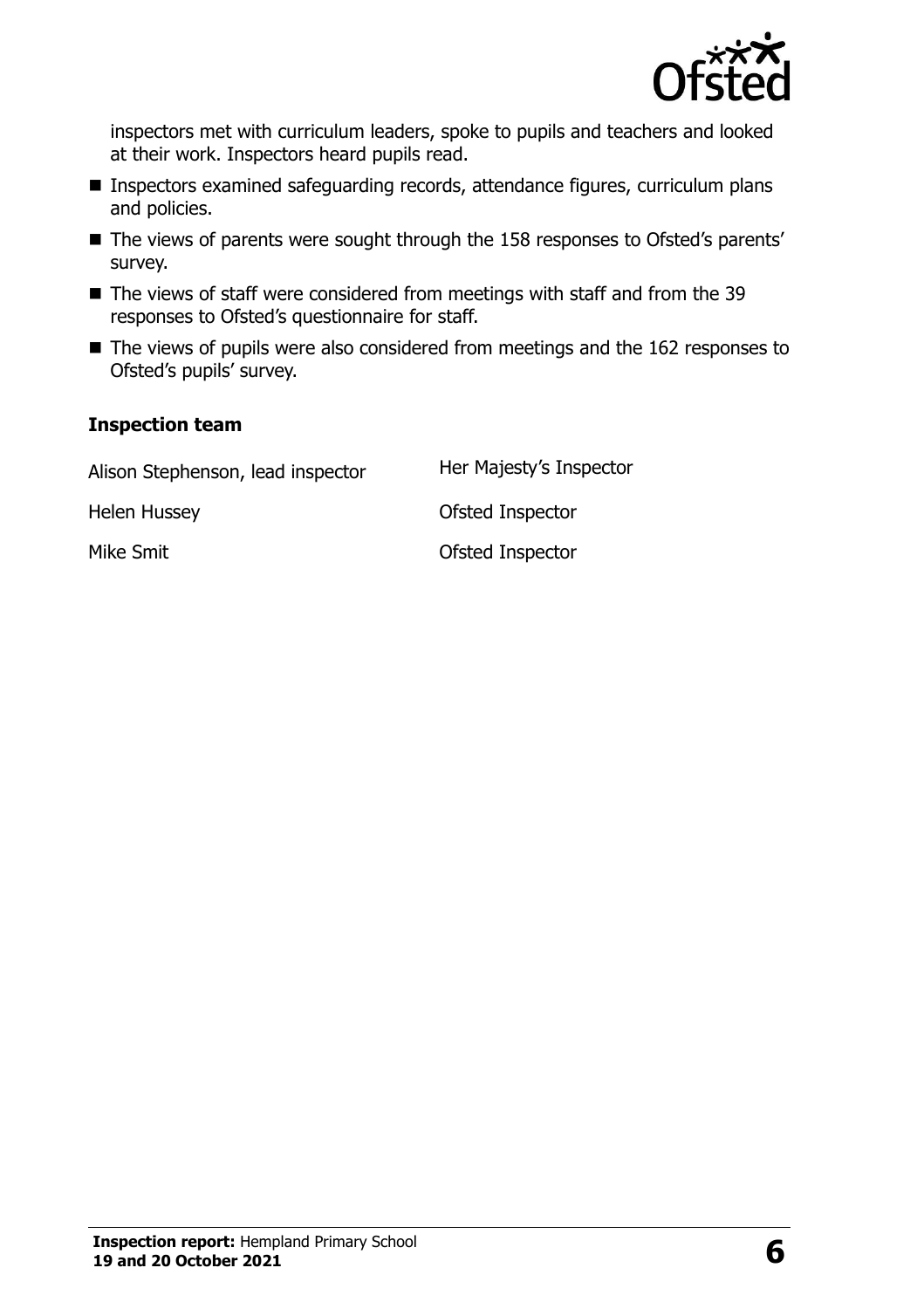

inspectors met with curriculum leaders, spoke to pupils and teachers and looked at their work. Inspectors heard pupils read.

- Inspectors examined safeguarding records, attendance figures, curriculum plans and policies.
- The views of parents were sought through the 158 responses to Ofsted's parents' survey.
- The views of staff were considered from meetings with staff and from the 39 responses to Ofsted's questionnaire for staff.
- The views of pupils were also considered from meetings and the 162 responses to Ofsted's pupils' survey.

#### **Inspection team**

| Alison Stephenson, lead inspector | Her Majesty's Inspector |
|-----------------------------------|-------------------------|
| <b>Helen Hussey</b>               | Ofsted Inspector        |
| Mike Smit                         | Ofsted Inspector        |